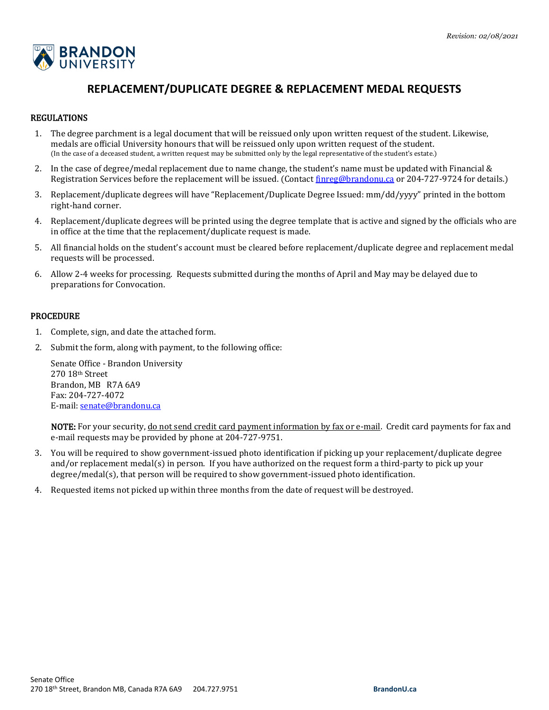

# **REPLACEMENT/DUPLICATE DEGREE & REPLACEMENT MEDAL REQUESTS**

# REGULATIONS

- 1. The degree parchment is a legal document that will be reissued only upon written request of the student. Likewise, medals are official University honours that will be reissued only upon written request of the student. (In the case of a deceased student, a written request may be submitted only by the legal representative of the student's estate.)
- 2. In the case of degree/medal replacement due to name change, the student's name must be updated with Financial & Registration Services before the replacement will be issued. (Contact [finreg@brandonu.ca](mailto:finreg@brandonu.ca) or 204-727-9724 for details.)
- 3. Replacement/duplicate degrees will have "Replacement/Duplicate Degree Issued: mm/dd/yyyy" printed in the bottom right-hand corner.
- 4. Replacement/duplicate degrees will be printed using the degree template that is active and signed by the officials who are in office at the time that the replacement/duplicate request is made.
- 5. All financial holds on the student's account must be cleared before replacement/duplicate degree and replacement medal requests will be processed.
- 6. Allow 2-4 weeks for processing. Requests submitted during the months of April and May may be delayed due to preparations for Convocation.

#### PROCEDURE

- 1. Complete, sign, and date the attached form.
- 2. Submit the form, along with payment, to the following office:

Senate Office - Brandon University 270 18th Street Brandon, MB R7A 6A9 Fax: 204-727-4072 E-mail[: senate@brandonu.ca](mailto:senate@brandonu.ca)

NOTE: For your security, do not send credit card payment information by fax or e-mail. Credit card payments for fax and e-mail requests may be provided by phone at 204-727-9751.

- 3. You will be required to show government-issued photo identification if picking up your replacement/duplicate degree and/or replacement medal(s) in person. If you have authorized on the request form a third-party to pick up your degree/medal(s), that person will be required to show government-issued photo identification.
- 4. Requested items not picked up within three months from the date of request will be destroyed.